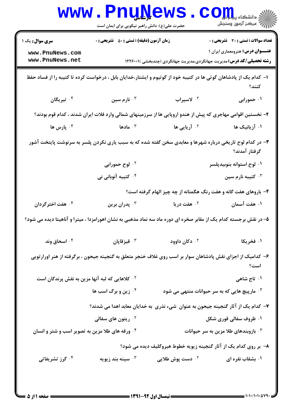| <b>سری سوال :</b> یک ۱                                                                                                     | <b>زمان آزمون (دقیقه) : تستی : 80 ٪ تشریحی : 0</b> |                                                                                                             | <b>تعداد سوالات : تستی : 30 ٪ تشریحی : 0</b>         |  |
|----------------------------------------------------------------------------------------------------------------------------|----------------------------------------------------|-------------------------------------------------------------------------------------------------------------|------------------------------------------------------|--|
| www.PnuNews.com                                                                                                            |                                                    |                                                                                                             | <b>عنـــوان درس:</b> هنرومعماری ایران ۱              |  |
| www.PnuNews.net                                                                                                            |                                                    | <b>رشته تحصیلی/کد درس:</b> مدیریت جهانگردی،مدیریت جهانگردی (چندبخشی )۲۲۶۰۰۱ (                               |                                                      |  |
| ا– کدام یک از پادشاهان گوتی ها در کتیبه خود از گوتیوم و ایشتار،خدایان بابل ، درخواست کرده تا کتیبه را از فساد حفظ<br>كنند؟ |                                                    |                                                                                                             |                                                      |  |
| ۰ <sup>۴</sup> تیریگان                                                                                                     | ا نارم سين $\cdot$                                 | ۰۲ لاسیراب                                                                                                  | ۰۱ حمورابی                                           |  |
|                                                                                                                            |                                                    | ۲– نخستین اقوامی مهاجری که پیش از هندو اروپایی ها از سرزمینهای شمالی وارد فلات ایران شدند ، کدام قوم بودند؟ |                                                      |  |
| ۰ <sup>۴</sup> پارس ها                                                                                                     | ا مادها $\cdot$ $^{\mathsf{r}}$                    | <sup>۰۲</sup> آریایی ها                                                                                     | ۰۱ آزیانیک ها                                        |  |
| ۳- در کدام لوح تاریخی درباره شهرها و معابدی سخن گفته شده که به سبب یاری نکردن پلسر به سرنوشت پایتخت آشور<br>گرفتار آمدند؟  |                                                    |                                                                                                             |                                                      |  |
|                                                                                                                            | ۰۲ لوح حمورابی                                     |                                                                                                             | ۰۱ لوح استوانه بنوبیدپلسر                            |  |
|                                                                                                                            | ۰۴ کتیبه آنوبانی نی                                |                                                                                                             | تيبه نارم سين $\cdot$ $^{\mathsf{v}}$                |  |
|                                                                                                                            |                                                    | ۴- باروهای هفت گانه و هفت رنگ هگمتانه از چه چیز الهام گرفته است؟                                            |                                                      |  |
| ۰۴ هفت اخترگردان                                                                                                           | بدران برين $\cdot^{\mathtt{v}}$                    | ۰ <sup>۲</sup> هفت دریا                                                                                     | ۰۱ هفت آسمان                                         |  |
| ۵– در نقش برجسته کدام یک از مقابر صخره ای دوره ماد سه نماد مذهبی به نشان اهورامزدا ، میترا و آناهیتا دیده می شود؟          |                                                    |                                                                                                             |                                                      |  |
| ۰۴ اسحاق وند                                                                                                               | قيزقاپان $\cdot$                                   | ۰ <sup>۲</sup> دکان داوود                                                                                   | ۰۱ فخریکا                                            |  |
| ۶– کدامیک از اجزای نقش پادشاهان سوار بر اسب روی غلاف خنجر متعلق به گنجینه جیحون ، برگرفته از هنر اورارتویی<br>است؟         |                                                    |                                                                                                             |                                                      |  |
| <sup>۲ .</sup> كلاهايي كه لبه آنها مزين به نقش پرندگان است                                                                 |                                                    |                                                                                                             | ۰۱ تاج شاهی                                          |  |
|                                                                                                                            | ۰۴ زین و برگ اسب ها                                |                                                                                                             | <b>۳ . مارپیچ هایی که به سر حیوانات منتهی می شود</b> |  |
|                                                                                                                            |                                                    | ۷– کدام یک از آثار گنجینه جیحون به عنوان  شیء نذری  به خدایان معابد اهدا می شدند؟                           |                                                      |  |
|                                                                                                                            | <sup>۲.</sup> ریتون های سفالی                      |                                                                                                             | ۰۱ ظروف سفالی قوری شکل                               |  |
| ۰۴ ورقه های طلا مزین به تصویر اسب و شتر و انسان                                                                            |                                                    |                                                                                                             | ا بازوبندهای طلا مزین به سر حیوانات $\cdot$          |  |
|                                                                                                                            |                                                    | ۸– بر روی کدام یک از آثار گنجینه زیویه خطوط هیروگلیف دیده می شود؟                                           |                                                      |  |
| ۰۴ گرز تشریفاتی                                                                                                            | سينه بند زيويه $\cdot^{\mathsf{v}}$                | <sup>۲ .</sup> دست پوش طلایی                                                                                | ۰۱ بشقاب نقره ای                                     |  |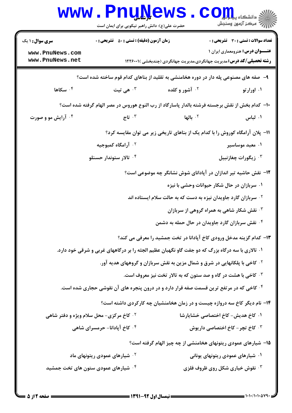|                                                                                                    | <b>WWW.FUUWEWS</b><br>حضرت علی(ع): دانش راهبر نیکویی برای ایمان است         |                                                                                                | دانشکاه پی <mark>ا با بار</mark><br>رآ مرڪز آزمون وسنڊش |
|----------------------------------------------------------------------------------------------------|-----------------------------------------------------------------------------|------------------------------------------------------------------------------------------------|---------------------------------------------------------|
| <b>سری سوال :</b> ۱ یک                                                                             | <b>زمان آزمون (دقیقه) : تستی : 50 ٪ تشریحی : 0</b>                          |                                                                                                | تعداد سوالات : تستي : 30 ٪ تشريحي : 0                   |
| www.PnuNews.com<br>www.PnuNews.net                                                                 |                                                                             | <b>رشته تحصیلی/کد درس:</b> مدیریت جهانگردی،مدیریت جهانگردی (چندبخشی )۲۲۶۰۰۱ (                  | <b>عنـــوان درس:</b> هنرومعماری ایران ۱                 |
|                                                                                                    |                                                                             | ۹- صفه های مصنوعی پله دار در دوره هخامنشی به تقلید از بناهای کدام قوم ساخته شده است؟           |                                                         |
| ۰۴ سکاها                                                                                           | ۰۳ هی تیت                                                                   | <b>۲. آشور و کلده</b>                                                                          | ۰۱ اورارتو                                              |
|                                                                                                    |                                                                             | ∙ا− کدام بخش از نقش برجسته فرشته بالدار پاسارگاد از رب النوع هوروس در مصر الهام گرفته شده است؟ |                                                         |
| ۰۴ آرایش مو و صورت                                                                                 | ۰ <sup>۳ تاج</sup>                                                          | ۰۲ <b>بالها</b>                                                                                | ۰۱ لباس                                                 |
|                                                                                                    |                                                                             | 11- پلان آرامگاه کوروش را با کدام یک از بناهای تاریخی زیر می توان مقایسه کرد؟                  |                                                         |
|                                                                                                    | ۰ <sup>۲</sup> آرامگاه کمبوجیه                                              |                                                                                                | ۰۱ معبد موساسیر                                         |
|                                                                                                    | ۰۴ تالار ستوندار حسنلو                                                      |                                                                                                | ۰ <sup>۳</sup> زیگورات چغازنبیل                         |
| ۱۲- نقش حاشیه تیر اندازان در آپادانای شوش نشانگر چه موضوعی است؟                                    |                                                                             |                                                                                                |                                                         |
|                                                                                                    |                                                                             | ۰۱ سربازان در حال شکار حیوانات وحشی با نیزه                                                    |                                                         |
|                                                                                                    | <sup>۲</sup> ۰ سربازان گارد جاویدان نیزه به دست که به حالت سلام ایستاده اند |                                                                                                |                                                         |
|                                                                                                    |                                                                             | <b>۳ نقش شکار شاهی به همراه گروهی از سربازان</b>                                               |                                                         |
|                                                                                                    |                                                                             | ۰۴ نقش سربازان گارد جاویدان در حال حمله به دشمن                                                |                                                         |
|                                                                                                    |                                                                             | ۱۳- کدام گزینه مدخل ورودی کاخ آپادانا در تخت جمشید را معرفی می کند؟                            |                                                         |
| ۰۱ تالاری با سه درگاه بزرگ که دو جفت گاو نگهبان عظیم الجثه را بر درگاههای غربی و شرقی خود دارد.    |                                                                             |                                                                                                |                                                         |
|                                                                                                    |                                                                             | <sup>۲ .</sup> کاخی با پلکانهایی در شرق و شمال مزین به نقش سربازان و گروههای هدیه آور.         |                                                         |
|                                                                                                    | <b>4 گاخی با هشت در گاه و صد ستون که به تالار تخت نیز معروف است.</b>        |                                                                                                |                                                         |
| <sup>۰۴</sup> کاخی که در مرتفع ترین قسمت صفه قرار دارد و در درون پنجره های آن نقوشی حجاری شده است. |                                                                             |                                                                                                |                                                         |
|                                                                                                    | ۱۴- نام دیگر کاخ سه دروازه چیست و در زمان هخامنشیان چه کارکردی داشته است؟   |                                                                                                |                                                         |
|                                                                                                    | <b>گ کاخ مرکزی- محل سلام ویژه و دفتر شاهی</b>                               | ١. كاخ هديش- كاخ اختصاصي خشايارشا                                                              |                                                         |
|                                                                                                    | ۰۴ کاخ آپادانا- حرمسرای شاهی                                                |                                                                                                | ۰ <sup>۳ ک</sup> اخ تچر – کاخ اختصاصی داریوش            |
|                                                                                                    |                                                                             | ۱۵– شیارهای عمودی ریتونهای هخامنشی از چه چیز الهام گرفته است؟                                  |                                                         |
|                                                                                                    | <sup>۲ .</sup> شیارهای عمودی ریتونهای ماد                                   |                                                                                                | ۰۱ شیارهای عمودی ریتونهای یونانی                        |
|                                                                                                    | ۰ <sup>۴</sup> شیارهای عمودی ستون های تخت جمشید                             |                                                                                                | <b>4 . نقوش خیاری شکل روی ظروف فلزی</b>                 |
|                                                                                                    |                                                                             |                                                                                                |                                                         |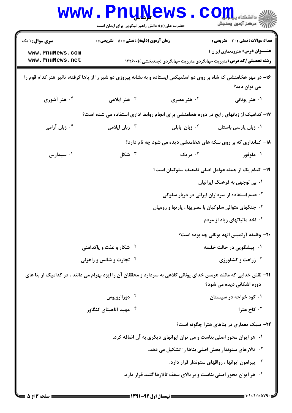|                                                                                                                                                       | <b>WWW.PnuNews</b><br>حضرت علی(ع): دانش راهبر نیکویی برای ایمان است                   |                                                                | $\text{C}$ OII<br>ر آ مرڪز آزمون وسنڊش                                                                                   |  |
|-------------------------------------------------------------------------------------------------------------------------------------------------------|---------------------------------------------------------------------------------------|----------------------------------------------------------------|--------------------------------------------------------------------------------------------------------------------------|--|
| <b>سری سوال :</b> ۱ یک                                                                                                                                | <b>زمان آزمون (دقیقه) : تستی : 50 ٪ تشریحی : 0</b>                                    |                                                                | <b>تعداد سوالات : تستی : 30 - تشریحی : 0</b>                                                                             |  |
| www.PnuNews.com<br>www.PnuNews.net                                                                                                                    |                                                                                       |                                                                | <b>عنـــوان درس:</b> هنرومعماری ایران ۱<br><b>رشته تحصیلی/کد درس:</b> مدیریت جهانگردی،مدیریت جهانگردی (چندبخشی )۲۲۶۰۰۱ ( |  |
| ۱۶- در مهر هخامنشی که شاه بر روی دو اسفنیکس ایستاده و به نشانه پیروزی دو شیر را از پاها گرفته، تاثیر هنر کدام قوم را<br>می توان دید؟                  |                                                                                       |                                                                |                                                                                                                          |  |
| ۰۴ هنر آشوری                                                                                                                                          | ۰۳ هنر ایلامی                                                                         | ۰۲ هنر مصری                                                    | ۰۱ هنر یونانی                                                                                                            |  |
|                                                                                                                                                       | ۱۷- کدامیک از زبانهای رایج در دوره هخامنشی برای انجام روابط اداری استفاده می شده است؟ |                                                                |                                                                                                                          |  |
| ۰۴ زبان آرامی                                                                                                                                         | ۰ <sup>۳</sup> زبان ایلامی                                                            | ۰ <sup>۲</sup> زبان بابلی                                      | ۰۱ زبان پارسی باستان                                                                                                     |  |
|                                                                                                                                                       |                                                                                       |                                                                | ۱۸- کمانداری که بر روی سکه های هخامنشی دیده می شود چه نام دارد؟                                                          |  |
| سیدارس $\cdot$ ۴                                                                                                                                      | شکل $\cdot^{\,}$                                                                      | ۰۲ دریک                                                        | ۰۱ ملوفور                                                                                                                |  |
|                                                                                                                                                       |                                                                                       |                                                                | ۱۹– کدام یک از جمله عوامل اصلی تضعیف سلوکیان است؟                                                                        |  |
|                                                                                                                                                       |                                                                                       |                                                                | ۰۱ بی توجهی به فرهنگ ایرانیان                                                                                            |  |
|                                                                                                                                                       |                                                                                       |                                                                | <sup>۲</sup> ۰ عدم استفاده از سرداران ایرانی در دربار سلوکی                                                              |  |
|                                                                                                                                                       |                                                                                       | <b>۳ ـ جنگهای متوالی سلوکیان با مصریها ، پارتها و رومیان</b>   |                                                                                                                          |  |
|                                                                                                                                                       |                                                                                       |                                                                | ۰۴ اخذ مالیاتهای زیاد از مردم                                                                                            |  |
|                                                                                                                                                       |                                                                                       |                                                                | ۲۰- وظیفه آرتمیس الهه یونانی چه بوده است؟                                                                                |  |
| <sup>۲</sup> ۰ شکار و عفت و پاکدامنی                                                                                                                  |                                                                                       | ۰۱ پیشگویی در حالت خلسه                                        |                                                                                                                          |  |
|                                                                                                                                                       | ۰۴ تجارت و شانس و راهزنی                                                              |                                                                | زراعت و کشاورزی $\cdot$ ۳                                                                                                |  |
| <b>۲۱</b> – نقش خدایی که مانند هرمس خدای یونانی کلاهی به سردارد و محققان آن را ایزد بهرام می دانند ، در کدامیک از بنا های<br>دوره اشکانی دیده می شود؟ |                                                                                       |                                                                |                                                                                                                          |  |
|                                                                                                                                                       | ۰۲ دورااروپوس                                                                         |                                                                | ۰۱ کوه خواجه در سیستان                                                                                                   |  |
|                                                                                                                                                       | ۰۴ مهبد آناهیتای کنگاور                                                               |                                                                | ۰ <sup>۳</sup> کاخ هترا                                                                                                  |  |
|                                                                                                                                                       |                                                                                       |                                                                | <b>۲۲</b> - سبک معماری در بناهای هترا چگونه است؟                                                                         |  |
| ۰۱ هر ایوان محور اصلی بناست و می توان ایوانهای دیگری به آن اضافه کرد.                                                                                 |                                                                                       |                                                                |                                                                                                                          |  |
|                                                                                                                                                       |                                                                                       | <sup>۲.</sup> تالارهای ستوندار بخش اصلی بناها را تشکیل می دهد. |                                                                                                                          |  |
|                                                                                                                                                       |                                                                                       |                                                                | $\cdot$ پیرامون ایوانها ، رواقهای ستوندار قرار دارد. $\cdot$                                                             |  |
| ۰۴ هر ایوان محور اصلی بناست و بر بالای سقف تالارها گنبد قرار دارد.                                                                                    |                                                                                       |                                                                |                                                                                                                          |  |
|                                                                                                                                                       | لأحدث والمتحدث والمسد                                                                 |                                                                |                                                                                                                          |  |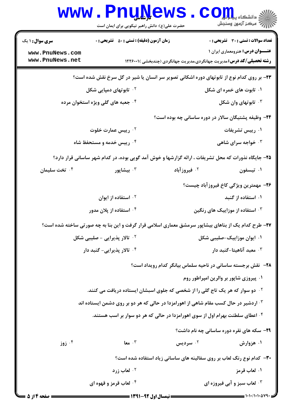|                                                                                                     | www.PnuNews<br>حضرت علی(ع): دانش راهبر نیکویی برای ایمان است                                         | الله دانشکاه پیام <mark>بر</mark><br>ایران مرکز آنههن وسنجش                               |  |
|-----------------------------------------------------------------------------------------------------|------------------------------------------------------------------------------------------------------|-------------------------------------------------------------------------------------------|--|
| <b>سری سوال : ۱ یک</b>                                                                              | <b>زمان آزمون (دقیقه) : تستی : 50 ٪ تشریحی : 0</b>                                                   | <b>تعداد سوالات : تستی : 30 ٪ تشریحی : 0</b>                                              |  |
| www.PnuNews.com                                                                                     |                                                                                                      | <b>عنـــوان درس:</b> هنرومعماری ایران ۱                                                   |  |
| www.PnuNews.net                                                                                     |                                                                                                      | <b>رشته تحصیلی/کد درس:</b> مدیریت جهانگردی،مدیریت جهانگردی (چندبخشی )۲۲۶۰۰۱ ا             |  |
| ۲۳- بر روی کدام نوع از تابوتهای دوره اشکانی تصویر سر انسان یا شیر در گل سرخ نقش شده است؟            |                                                                                                      |                                                                                           |  |
| <b>۲ . تابوتهای دمپایی شکل</b>                                                                      |                                                                                                      | ۰۱ تابوت های خمره ای شکل                                                                  |  |
|                                                                                                     | ۰۴ جعبه های گلی ویژه استخوان مرده                                                                    | تابوتهای وان شکل $\cdot$                                                                  |  |
|                                                                                                     |                                                                                                      | ۲۴- وظیفه پشتیگان سالار در دوره ساسانی چه بوده است؟                                       |  |
|                                                                                                     | <b>10 رییس عمارت خلوت</b>                                                                            | ۰۱ رییس تشریفات                                                                           |  |
|                                                                                                     | ۰۴ رییس خدمه و مستحفظ شاه                                                                            | خواجه سرای شاهی $\cdot^{\mathsf{v}}$                                                      |  |
| ۲۵- جایگاه نذورات که محل تشریفات ، ارائه گزارشها و خوش آمد گویی بوده، در کدام شهر ساسانی قرار دارد؟ |                                                                                                      |                                                                                           |  |
| ۰۴ تخت سلیمان                                                                                       | بيشاپور $\cdot^{\mathsf{r}}$                                                                         | ۰ <sup>۲</sup> فیروز آباد<br>۰۱ تیسفون                                                    |  |
|                                                                                                     |                                                                                                      | ۲۶– مهمترین ویژگی کاخ فیروزآباد چیست؟                                                     |  |
|                                                                                                     | ۰۲ استفاده از ایوان                                                                                  | ۰۱ استفاده از گنبد                                                                        |  |
|                                                                                                     | ۰۴ استفاده از پلان مدور                                                                              | استفاده از موزاییک های رنگین $\cdot^{\texttt{w}}$                                         |  |
|                                                                                                     | ۲۷- طرح کدام یک از بناهای بیشاپور سرمشق معماری اسلامی قرار گرفت و این بنا به چه صورتی ساخته شده است؟ |                                                                                           |  |
|                                                                                                     | <sup>۲</sup> ۰ تالار پذیرایی - صلیبی شکل                                                             | ۰۱ ایوان موزاییک-صلیبی شکل                                                                |  |
|                                                                                                     | ۰۴ تالار پذیرایی- گنبد دار                                                                           | ۰ <sup>۳</sup> معبد آناهیتا-گنبد دار                                                      |  |
|                                                                                                     | <b>۲۸</b> - نقش برجسته ساسانی در ناحیه سلماس بیانگر کدام رویداد است؟                                 |                                                                                           |  |
|                                                                                                     |                                                                                                      | ۰۱ پیروزی شاپور بر والرین امپراطور روم                                                    |  |
|                                                                                                     |                                                                                                      | <sup>۲ .</sup> دو سوار که هر یک تاج گلی را از شخصی که جلوی اسبشان ایستاده دریافت می کنند. |  |
| ۰ <sup>۳ .</sup> اردشیر در حال کسب مقام شاهی از اهورامزدا در حالی که هر دو بر روی دشمن ایستاده اند  |                                                                                                      |                                                                                           |  |
|                                                                                                     |                                                                                                      | ۰۴ اعطای سلطنت بهرام اول از سوی اهورامزدا در حالی که هر دو سوار بر اسب هستند.             |  |
|                                                                                                     |                                                                                                      | <b>۲۹</b> - سکه های نقره دوره ساسانی چه نام داشت؟                                         |  |
| زوز $\cdot^{\mathfrak{e}}$                                                                          | $\mathbf{I}$ هعا $\mathbf{I}$                                                                        | ۰ <sup>۲</sup> سردیس<br>۰۱ هزوارش                                                         |  |
|                                                                                                     |                                                                                                      | <b>۳۰</b> - کدام نوع رنگ لعاب بر روی سفالینه های ساسانی زیاد استفاده شده است؟             |  |
|                                                                                                     | <b>10 لعاب زرد</b>                                                                                   | ۰۱ لعاب قرمز                                                                              |  |
|                                                                                                     | ۰۴ لعاب قرمز و قهوه ای                                                                               | ۰۳ لعاب سبز و آبي فيروزه اي                                                               |  |
|                                                                                                     |                                                                                                      |                                                                                           |  |